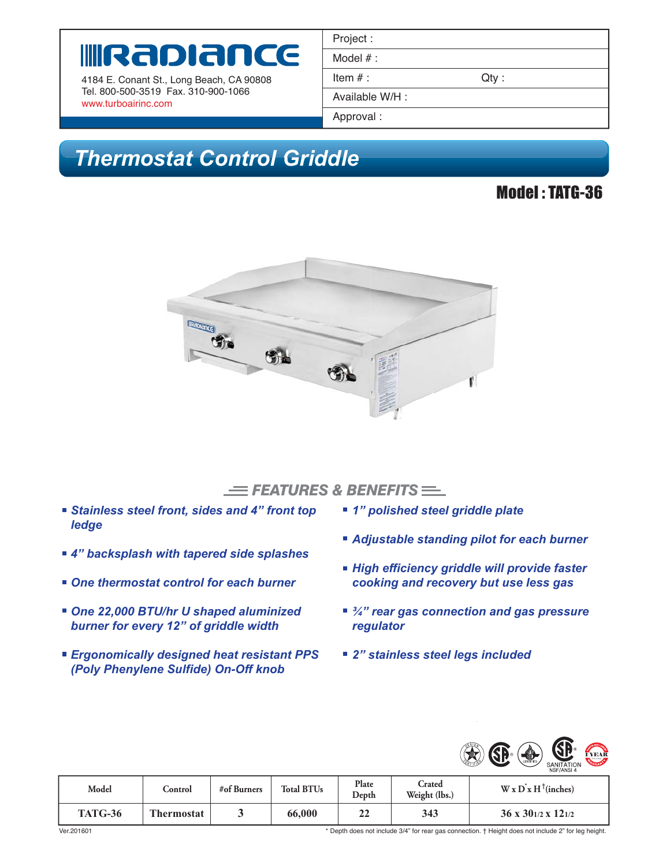# Rapiance

4184 E. Conant St., Long Beach, CA 90808 Tel. 800-500-3519 Fax. 310-900-1066 www.turboairinc.com

| Project :       |         |  |
|-----------------|---------|--|
| Model $#$ :     |         |  |
| Item $#$ :      | $Qty$ : |  |
| Available W/H : |         |  |
| Approval:       |         |  |

# *Thermostat Control Griddle*

### Model : TATG-36



#### $\equiv$  FEATURES & BENEFITS  $\equiv$

- *Stainless steel front, sides and 4" front top ledge*
- *4" backsplash with tapered side splashes*
- One thermostat control for each burner
- *One 22,000 BTU/hr U shaped aluminized burner for every 12" of griddle width*
- *Ergonomically designed heat resistant PPS (Poly Phenylene Sulfide) On-Off knob*
- *1" polished steel griddle plate*
- *Adjustable standing pilot for each burner*
- *High efficiency griddle will provide faster cooking and recovery but use less gas*
- <sup>3</sup>/<sub>4</sub>" rear gas connection and gas pressure *regulator*
- *2" stainless steel legs included*



| Model          | Control           | #of Burners | <b>Total BTUs</b> | Plate<br>Depth | Crated<br>Weight (lbs.) | $W \times D^x H^{\dagger}$ (inches)  |
|----------------|-------------------|-------------|-------------------|----------------|-------------------------|--------------------------------------|
| <b>TATG-36</b> | <b>Thermostat</b> |             | 66,000            | n.<br>∠∠       | 343                     | $36 \times 30^{1/2} \times 12^{1/2}$ |

\* Depth does not include 3/4" for rear gas connection. † Height does not include 2" for leg height.